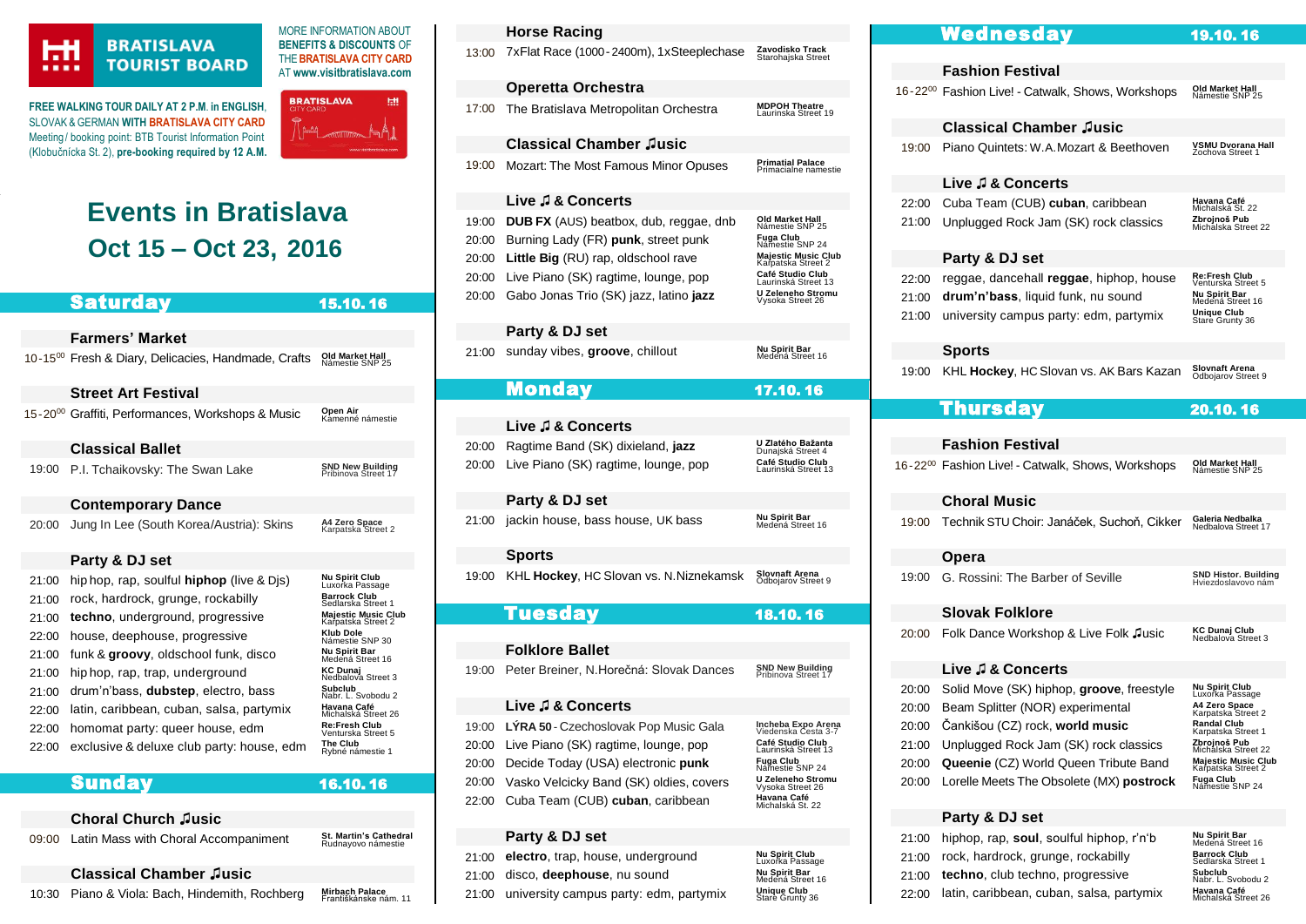

r

# **BRATISLAVA TOURIST BOARD**

**FREE WALKING TOUR DAILY AT 2 P.M**. **in ENGLISH**, SLOVAK & GERMAN **WIT[H BRATISLAVA CITY CARD](https://www.visitbratislava.com/your-trip/stay-in-the-city/city-card-advantages/)** Meeting/ booking point: BTB Tourist Information Point (Klobučnícka St. 2), **pre-booking required by 12 A.M.**



MORE INFORMATION ABOUT **BENEFITS & DISCOUNTS** OF THE**[BRATISLAVA CITY CARD](https://www.visitbratislava.com/your-trip/stay-in-the-city/city-card-advantages/)** AT **[www.visitbratislava.com](http://www.visitbratislava.com/)**

# **Events in Bratislava Oct 15 – Oct 23, 2016**

| <b>Saturday</b>                                  | 15.10.16                                                                                                                                                                                      |                                                                                                                                                                 | 20:00 Gabo Johas Trio (SK) jazz, latino <b>jazz</b>                                    |
|--------------------------------------------------|-----------------------------------------------------------------------------------------------------------------------------------------------------------------------------------------------|-----------------------------------------------------------------------------------------------------------------------------------------------------------------|----------------------------------------------------------------------------------------|
|                                                  |                                                                                                                                                                                               |                                                                                                                                                                 | Party & DJ set                                                                         |
|                                                  | Old Market Hall<br>Námestie SNP 25                                                                                                                                                            |                                                                                                                                                                 | sunday vibes, groove, chillout                                                         |
| <b>Street Art Festival</b>                       |                                                                                                                                                                                               |                                                                                                                                                                 | <b>Monday</b>                                                                          |
|                                                  | Open Air                                                                                                                                                                                      |                                                                                                                                                                 |                                                                                        |
|                                                  |                                                                                                                                                                                               |                                                                                                                                                                 | Live J & Concerts                                                                      |
| <b>Classical Ballet</b>                          |                                                                                                                                                                                               |                                                                                                                                                                 | Ragtime Band (SK) dixieland, jazz                                                      |
| P.I. Tchaikovsky: The Swan Lake                  | <b>SND New Building</b><br>Pribinova Street 17                                                                                                                                                |                                                                                                                                                                 | Live Piano (SK) ragtime, lounge, pop                                                   |
| <b>Contemporary Dance</b>                        |                                                                                                                                                                                               |                                                                                                                                                                 | Party & DJ set                                                                         |
| Jung In Lee (South Korea/Austria): Skins         | A4 Zero Space<br>Karpatska Street 2                                                                                                                                                           |                                                                                                                                                                 | jackin house, bass house, UK bass                                                      |
|                                                  |                                                                                                                                                                                               |                                                                                                                                                                 | <b>Sports</b>                                                                          |
| hip hop, rap, soulful <b>hiphop</b> (live & Dis) |                                                                                                                                                                                               |                                                                                                                                                                 | KHL Hockey, HC Slovan vs. N. Niznekam                                                  |
| rock, hardrock, grunge, rockabilly               | <b>Barrock Club</b>                                                                                                                                                                           |                                                                                                                                                                 |                                                                                        |
| techno, underground, progressive                 | <b>Majestic Music Club</b>                                                                                                                                                                    |                                                                                                                                                                 | <b>Tuesday</b>                                                                         |
| house, deephouse, progressive                    | <b>Klub Dole</b>                                                                                                                                                                              |                                                                                                                                                                 |                                                                                        |
| funk & groovy, oldschool funk, disco             | Nu Spirit Bar                                                                                                                                                                                 |                                                                                                                                                                 | <b>Folklore Ballet</b>                                                                 |
| hip hop, rap, trap, underground                  | <b>KC Dunaj</b><br>Nedbalova Street 3                                                                                                                                                         |                                                                                                                                                                 | Peter Breiner, N. Horečná: Slovak Dances                                               |
| drum'n'bass, dubstep, electro, bass              | Subclub<br>Nabr. L. Svobodu 2                                                                                                                                                                 |                                                                                                                                                                 |                                                                                        |
| latin, caribbean, cuban, salsa, partymix         | Havana Café                                                                                                                                                                                   |                                                                                                                                                                 | Live J & Concerts                                                                      |
| homomat party: queer house, edm                  | <b>Re:Fresh Club</b><br>Venturska Street 5                                                                                                                                                    |                                                                                                                                                                 | LÝRA 50 - Czechoslovak Pop Music Gala                                                  |
| exclusive & deluxe club party: house, edm        | The Club<br>Rybné námestie 1                                                                                                                                                                  |                                                                                                                                                                 | Live Piano (SK) ragtime, lounge, pop                                                   |
|                                                  |                                                                                                                                                                                               |                                                                                                                                                                 | Decide Today (USA) electronic punk                                                     |
|                                                  | 16.10.16                                                                                                                                                                                      |                                                                                                                                                                 | Vasko Velcicky Band (SK) oldies, covers                                                |
|                                                  |                                                                                                                                                                                               |                                                                                                                                                                 | 22:00 Cuba Team (CUB) cuban, caribbean                                                 |
|                                                  | <b>Farmers' Market</b><br>10-15 <sup>00</sup> Fresh & Diary, Delicacies, Handmade, Crafts<br>15-20 <sup>00</sup> Graffiti, Performances, Workshops & Music<br>Party & DJ set<br><b>Sunday</b> | Kamenné námestie<br>Nu Spirit Club<br>Luxorka Passage<br>Sedlarska Street 1<br>Karpatska Street 2<br>Námestie SNP 30<br>Medená Street 16<br>Michalská Street 26 | 21:00<br>20:00<br>20:00<br>21:00<br>19:00<br>19:00<br>19:00<br>20:00<br>20:00<br>20:00 |

### **Choral Church ♫usic**

| *********************                          |                                                |
|------------------------------------------------|------------------------------------------------|
| 09:00 Latin Mass with Choral Accompaniment     | St. Martin's Cathedral<br>Rudnavovo námestie   |
| <b>Classical Chamber Jusic</b>                 |                                                |
| 10:30 Piano & Viola: Bach, Hindemith, Rochberg | <b>Mirbach Palace</b><br>Františkánske nám. 11 |

|                                           | <b>Horse Racing</b>                                                                                                                                                                                                  |                                                                                                                                                                                                            |
|-------------------------------------------|----------------------------------------------------------------------------------------------------------------------------------------------------------------------------------------------------------------------|------------------------------------------------------------------------------------------------------------------------------------------------------------------------------------------------------------|
| 13:00                                     | 7xFlat Race (1000-2400m), 1xSteeplechase                                                                                                                                                                             | Zavodisko Track<br>Starohajska Street                                                                                                                                                                      |
|                                           | <b>Operetta Orchestra</b>                                                                                                                                                                                            |                                                                                                                                                                                                            |
| 17:00                                     | The Bratislava Metropolitan Orchestra                                                                                                                                                                                | <b>MDPOH Theatre</b><br>Laurinska Street 19                                                                                                                                                                |
|                                           | <b>Classical Chamber Jusic</b>                                                                                                                                                                                       |                                                                                                                                                                                                            |
| 19:00                                     | Mozart: The Most Famous Minor Opuses                                                                                                                                                                                 | <b>Primatial Palace</b><br>Primacialne namestie                                                                                                                                                            |
|                                           | <b>Live J &amp; Concerts</b>                                                                                                                                                                                         |                                                                                                                                                                                                            |
| 19:00<br>20:00<br>20:00<br>20:00<br>20:00 | <b>DUB FX</b> (AUS) beatbox, dub, reggae, dnb<br>Burning Lady (FR) punk, street punk<br><b>Little Big</b> (RU) rap, oldschool rave<br>Live Piano (SK) ragtime, lounge, pop<br>Gabo Jonas Trio (SK) jazz, latino jazz | Old Market Hall<br>Námestie SNP 25<br>Fuga Club<br>Námestie SNP 24<br><b>Majestic Music Club</b><br>Karpatska Street 2<br>Café Studio Club<br>Laurinská Street 13<br>U Zeleneho Stromu<br>Vysoka Street 26 |
|                                           | Party & DJ set                                                                                                                                                                                                       |                                                                                                                                                                                                            |
| 21:00                                     | sunday vibes, groove, chillout                                                                                                                                                                                       | Nu Spirit Bar<br>Medená Street 16                                                                                                                                                                          |
|                                           |                                                                                                                                                                                                                      |                                                                                                                                                                                                            |
|                                           | Monday                                                                                                                                                                                                               | 17.10.16                                                                                                                                                                                                   |
|                                           |                                                                                                                                                                                                                      |                                                                                                                                                                                                            |
|                                           | <b>Live J &amp; Concerts</b>                                                                                                                                                                                         |                                                                                                                                                                                                            |
| 20:00<br>20:00                            | Ragtime Band (SK) dixieland, jazz<br>Live Piano (SK) ragtime, lounge, pop                                                                                                                                            | U Zlatého Bažanta<br>Dunajská Street 4<br>Café Studio Club<br>Laurinská Street 13                                                                                                                          |
|                                           | Party & DJ set                                                                                                                                                                                                       |                                                                                                                                                                                                            |
| 21:00                                     | jackin house, bass house, UK bass                                                                                                                                                                                    | Nu Spirit Bar<br>Medená Street 16                                                                                                                                                                          |
|                                           | <b>Sports</b>                                                                                                                                                                                                        |                                                                                                                                                                                                            |
| 19:00                                     | KHL Hockey, HC Slovan vs. N. Niznekamsk                                                                                                                                                                              | Slovnaft Arena<br>Odbojarov Street 9                                                                                                                                                                       |
|                                           | Tuesday                                                                                                                                                                                                              | 18.10.16                                                                                                                                                                                                   |
|                                           |                                                                                                                                                                                                                      |                                                                                                                                                                                                            |
|                                           | <b>Folklore Ballet</b>                                                                                                                                                                                               |                                                                                                                                                                                                            |
| 19.00                                     | Peter Breiner, N. Horečná: Slovak Dances                                                                                                                                                                             | <b>SND New Building</b><br>Pribinova Street 17                                                                                                                                                             |
|                                           | Live ♬ & Concerts                                                                                                                                                                                                    | Incheba Expo Arena<br>Viedenska Cesta 3-7                                                                                                                                                                  |

|                         | <b>Fashion Festival</b>                                                                                                 |                                                                                                                   |
|-------------------------|-------------------------------------------------------------------------------------------------------------------------|-------------------------------------------------------------------------------------------------------------------|
|                         | 16-22 <sup>00</sup> Fashion Live! - Catwalk, Shows, Workshops                                                           | <b>Old Market Hall</b><br>Námestie SNP 25                                                                         |
|                         | <b>Classical Chamber Jusic</b>                                                                                          |                                                                                                                   |
| 19:00                   | Piano Quintets: W.A. Mozart & Beethoven                                                                                 | VSMU Dvorana Hall<br>Zochova Street 1                                                                             |
|                         | Live ♬&Concerts                                                                                                         |                                                                                                                   |
| 22:00<br>21:00          | Cuba Team (CUB) cuban, caribbean<br>Unplugged Rock Jam (SK) rock classics                                               | Havana Café<br>Michalská St. 22<br>Zbrojnoš Pub<br>Michalska Street 22                                            |
|                         | Party & DJ set                                                                                                          |                                                                                                                   |
| 22:00<br>21:00<br>21:00 | reggae, dancehall reggae, hiphop, house<br>drum'n'bass, liquid funk, nu sound<br>university campus party: edm, partymix | Re:Fresh Club<br>Venturska Street 5<br>Nu Spirit Bar<br>Medená Street 16<br><b>Unique Club</b><br>Stare Grunty 36 |
|                         | Sports                                                                                                                  |                                                                                                                   |
| 19:00                   | KHL Hockey, HC Slovan vs. AK Bars Kazan                                                                                 | Slovnaft Arena<br>Odbojarov Street 9                                                                              |
|                         | Thursday                                                                                                                | 20.10. 16                                                                                                         |
|                         |                                                                                                                         |                                                                                                                   |
|                         | <b>Fashion Festival</b>                                                                                                 |                                                                                                                   |
|                         | 16-22 <sup>00</sup> Fashion Live! - Catwalk, Shows, Workshops                                                           | Old Market Hall<br>Námestie SNP 25                                                                                |
|                         | <b>Choral Music</b>                                                                                                     |                                                                                                                   |
| 19:00                   | Technik STU Choir: Janáček, Suchoň, Cikker                                                                              | Galeria Nedbalka<br>Nedbalova Street 17                                                                           |
|                         | Opera                                                                                                                   |                                                                                                                   |
| 19:00                   | G. Rossini: The Barber of Seville                                                                                       | <b>SND Histor. Building</b><br>Hviezdoslavovo nám                                                                 |
|                         | Slovak Folklore                                                                                                         |                                                                                                                   |
| 20:00                   | Folk Dance Workshop & Live Folk Jusic                                                                                   | KC Dunaj Club<br>Nedbalova Street 3                                                                               |
|                         | <b>Live J &amp; Concerts</b>                                                                                            |                                                                                                                   |
| 20:00                   | Solid Move (SK) hiphop, groove, freestyle                                                                               | Nu Spirit Club<br>Luxorka Passage                                                                                 |
| 20:00                   | Beam Splitter (NOR) experimental                                                                                        | A4 Zero Space<br>Karpatska Street 2                                                                               |
| 20:00                   | Cankišou (CZ) rock, world music                                                                                         | <b>Randal Club</b><br>Karpatska Street 1                                                                          |
| 21:00                   | Unplugged Rock Jam (SK) rock classics                                                                                   | Zbrojnoš Pub<br>Michalska Street 22                                                                               |
| 20:00                   | Queenie (CZ) World Queen Tribute Band                                                                                   | <b>Majestic Music Club</b><br>Karpatska Street 2                                                                  |
| 20:00                   | Lorelle Meets The Obsolete (MX) postrock                                                                                | Fuga Club<br>Námestie SNP 24                                                                                      |
|                         | Party & DJ set                                                                                                          |                                                                                                                   |
|                         |                                                                                                                         | Nu Spirit Bar                                                                                                     |

[21:00](http://www.medusagroup.sk/#barrock) rock, hardrock, grunge, rockabilly

[21:00](http://www.subclub.sk/program) **techno**, club techno, progressive

[22:00](http://www.havanacafe.sk/index.php?id=0&sp=0&lang=en) latin, caribbean, cuban, salsa, partymix

**Barrock Club**<br>Sedlarska Street 1

Subclub<br>Nabr. L. Svobodu 2<br>Havana Café

Michalská Street 26

Wednesday19.10. 16

| $1$ and $7$ and $0$ and $0$                  |                                       |
|----------------------------------------------|---------------------------------------|
| 21:00 electro, trap, house, underground      | Nu Spirit Club<br>Luxorka Passage     |
| 21:00 disco, <b>deephouse</b> , nu sound     | Nu Spirit Bar<br>Medená Street 16     |
| 21:00 university campus party: edm, partymix | <b>Unique Club</b><br>Stare Grunty 36 |
|                                              |                                       |

**Party & DJ set**

Café Studio Club<br>Laurinská Street 13

Fuga Club<br>Námestie SNP 24

Havana Café<br>Michalská St. 22

Visoka Street 26<br>Vysoka Street 26